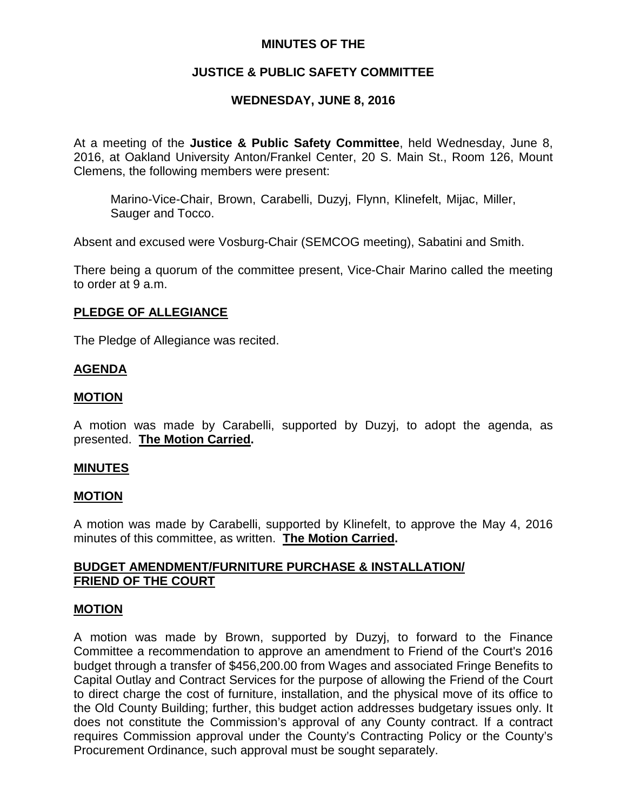## **MINUTES OF THE**

# **JUSTICE & PUBLIC SAFETY COMMITTEE**

# **WEDNESDAY, JUNE 8, 2016**

At a meeting of the **Justice & Public Safety Committee**, held Wednesday, June 8, 2016, at Oakland University Anton/Frankel Center, 20 S. Main St., Room 126, Mount Clemens, the following members were present:

Marino-Vice-Chair, Brown, Carabelli, Duzyj, Flynn, Klinefelt, Mijac, Miller, Sauger and Tocco.

Absent and excused were Vosburg-Chair (SEMCOG meeting), Sabatini and Smith.

There being a quorum of the committee present, Vice-Chair Marino called the meeting to order at 9 a.m.

## **PLEDGE OF ALLEGIANCE**

The Pledge of Allegiance was recited.

## **AGENDA**

## **MOTION**

A motion was made by Carabelli, supported by Duzyj, to adopt the agenda, as presented. **The Motion Carried.**

#### **MINUTES**

#### **MOTION**

A motion was made by Carabelli, supported by Klinefelt, to approve the May 4, 2016 minutes of this committee, as written. **The Motion Carried.**

## **BUDGET AMENDMENT/FURNITURE PURCHASE & INSTALLATION/ FRIEND OF THE COURT**

#### **MOTION**

A motion was made by Brown, supported by Duzyj, to forward to the Finance Committee a recommendation to approve an amendment to Friend of the Court's 2016 budget through a transfer of \$456,200.00 from Wages and associated Fringe Benefits to Capital Outlay and Contract Services for the purpose of allowing the Friend of the Court to direct charge the cost of furniture, installation, and the physical move of its office to the Old County Building; further, this budget action addresses budgetary issues only. It does not constitute the Commission's approval of any County contract. If a contract requires Commission approval under the County's Contracting Policy or the County's Procurement Ordinance, such approval must be sought separately.